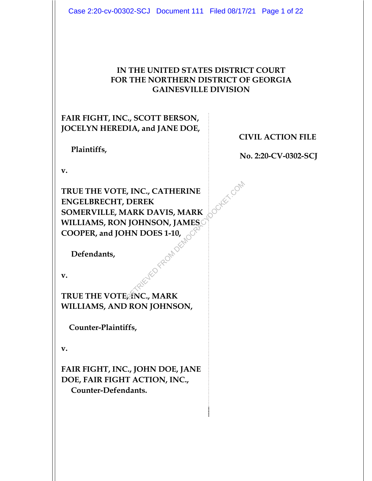#### **IN THE UNITED STATES DISTRICT COURT FOR THE NORTHERN DISTRICT OF GEORGIA GAINESVILLE DIVISION**

## **FAIR FIGHT, INC., SCOTT BERSON, JOCELYN HEREDIA, and JANE DOE,**

 **Plaintiffs,** 

**CIVIL ACTION FILE** 

 **No. 2:20-CV-0302-SCJ** 

**v.** 

**TRUE THE VOTE, INC., CATHERINE ENGELBRECHT, DEREK SOMERVILLE, MARK DAVIS, MARK WILLIAMS, RON JOHNSON, JAMES COOPER, and JOHN DOES 1-10,**  RETRIEVED FROM DEREKTRIK DAVIS, MARK

 **Defendants,** 

**v.** 

**TRUE THE VOTE, INC., MARK WILLIAMS, AND RON JOHNSON,** 

 **Counter-Plaintiffs,** 

**v.** 

**FAIR FIGHT, INC., JOHN DOE, JANE DOE, FAIR FIGHT ACTION, INC., Counter-Defendants.**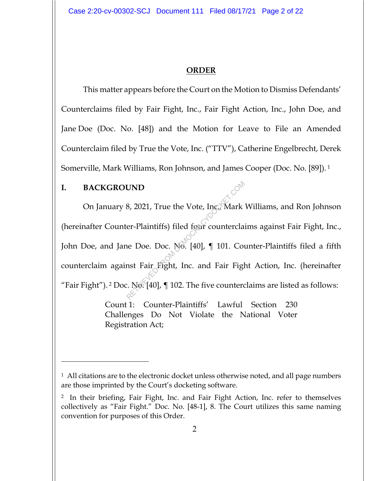### **ORDER**

This matter appears before the Court on the Motion to Dismiss Defendants' Counterclaims filed by Fair Fight, Inc., Fair Fight Action, Inc., John Doe, and Jane Doe (Doc. No. [48]) and the Motion for Leave to File an Amended Counterclaim filed by True the Vote, Inc. ("TTV"), Catherine Engelbrecht, Derek Somerville, Mark Williams, Ron Johnson, and James Cooper (Doc. No. [89]). 1

## **I. BACKGROUND**

On January 8, 2021, True the Vote, Inc., Mark Williams, and Ron Johnson (hereinafter Counter-Plaintiffs) filed four counterclaims against Fair Fight, Inc., John Doe, and Jane Doe. Doc. No. [40], ¶ 101. Counter-Plaintiffs filed a fifth counterclaim against Fair Fight, Inc. and Fair Fight Action, Inc. (hereinafter "Fair Fight"). <sup>2</sup> Doc. No. [40],  $\P$  102. The five counterclaims are listed as follows: **EXAMPLE 18 SAMPLE 18 SAMPLE 18 SAMPLE 18 SAMPLE 18 SAMPLE 18 SAMPLE 18 SAMPLE 18 SAMPLE 18 SAMPLE 18 SAMPLE 18 SAMPLE 18 SAMPLE 19 SAMPLE 19 SAMPLE 19 SAMPLE 19 SAMPLE 19 SAMPLE 19 SAMPLE 19 SAMPLE 19 SAMPLE 19 SAMPLE 19** 

Count 1: Counter-Plaintiffs' Lawful Section 230 Challenges Do Not Violate the National Voter Registration Act;

<sup>&</sup>lt;sup>1</sup> All citations are to the electronic docket unless otherwise noted, and all page numbers are those imprinted by the Court's docketing software.

<sup>2</sup> In their briefing, Fair Fight, Inc. and Fair Fight Action, Inc. refer to themselves collectively as "Fair Fight." Doc. No. [48-1], 8. The Court utilizes this same naming convention for purposes of this Order.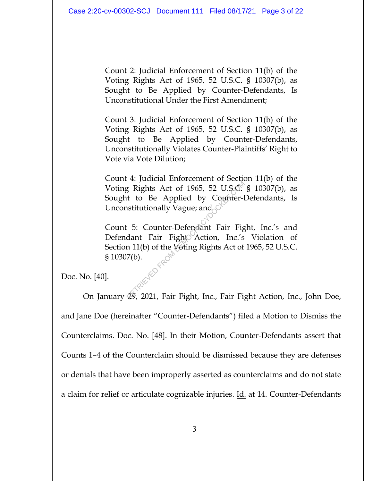Count 2: Judicial Enforcement of Section 11(b) of the Voting Rights Act of 1965, 52 U.S.C. § 10307(b), as Sought to Be Applied by Counter-Defendants, Is Unconstitutional Under the First Amendment;

Count 3: Judicial Enforcement of Section 11(b) of the Voting Rights Act of 1965, 52 U.S.C. § 10307(b), as Sought to Be Applied by Counter-Defendants, Unconstitutionally Violates Counter-Plaintiffs' Right to Vote via Vote Dilution;

Count 4: Judicial Enforcement of Section 11(b) of the Voting Rights Act of 1965, 52 U.S.C. § 10307(b), as Sought to Be Applied by Counter-Defendants, Is Unconstitutionally Vague; and

Count 5: Counter-Defendant Fair Fight, Inc.'s and Defendant Fair Fight Action, Inc.'s Violation of Section 11(b) of the Voting Rights Act of 1965, 52 U.S.C. § 10307(b). Rights Act of 1965, 52 U.S.O.<br>
It to Be Applied by Counter-l<br>
Institutionally Vague; and<br>
Fair Fight Action, Inc.'s<br>
n 11(b) of the Voting Rights Act of<br>
7(b).<br>
29, 2021, Fair Fight, Inc., Fair Fight

Doc. No. [40].

On January 29, 2021, Fair Fight, Inc., Fair Fight Action, Inc., John Doe, and Jane Doe (hereinafter "Counter-Defendants") filed a Motion to Dismiss the Counterclaims. Doc. No. [48]. In their Motion, Counter-Defendants assert that Counts 1–4 of the Counterclaim should be dismissed because they are defenses or denials that have been improperly asserted as counterclaims and do not state a claim for relief or articulate cognizable injuries. Id. at 14. Counter-Defendants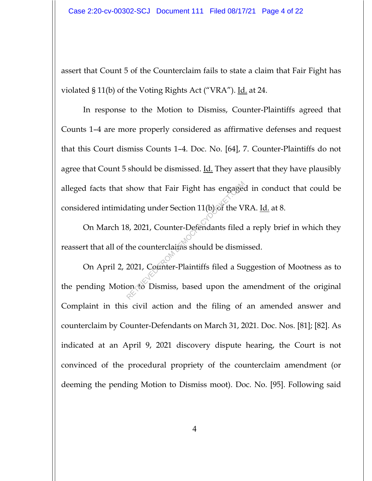assert that Count 5 of the Counterclaim fails to state a claim that Fair Fight has violated § 11(b) of the Voting Rights Act ("VRA"). Id. at 24.

In response to the Motion to Dismiss, Counter-Plaintiffs agreed that Counts 1–4 are more properly considered as affirmative defenses and request that this Court dismiss Counts 1–4. Doc. No. [64], 7. Counter-Plaintiffs do not agree that Count 5 should be dismissed.  $\underline{Id}$ . They assert that they have plausibly alleged facts that show that Fair Fight has engaged in conduct that could be considered intimidating under Section 11(b) of the VRA. Id. at 8.

On March 18, 2021, Counter-Defendants filed a reply brief in which they reassert that all of the counterclaims should be dismissed.

On April 2, 2021, Counter-Plaintiffs filed a Suggestion of Mootness as to the pending Motion to Dismiss, based upon the amendment of the original Complaint in this civil action and the filing of an amended answer and counterclaim by Counter-Defendants on March 31, 2021. Doc. Nos. [81]; [82]. As indicated at an April 9, 2021 discovery dispute hearing, the Court is not convinced of the procedural propriety of the counterclaim amendment (or deeming the pending Motion to Dismiss moot). Doc. No. [95]. Following said Show that Fair Fight has engaged<br>ating under Section 11(b) of the V<br>8, 2021, Counter-Defendants filed<br>the counterclatins should be dismi<br>2021, Counter-Plaintiffs filed a Su<br>on to Dismiss, based upon the a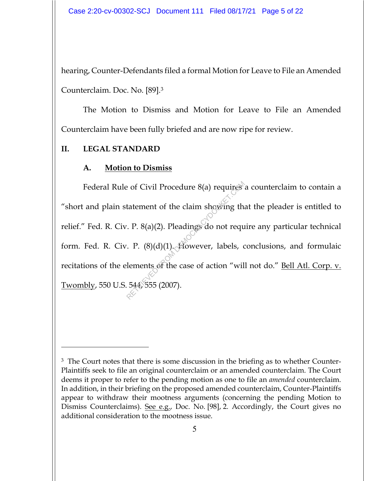hearing, Counter-Defendants filed a formal Motion for Leave to File an Amended Counterclaim. Doc. No. [89].3

The Motion to Dismiss and Motion for Leave to File an Amended Counterclaim have been fully briefed and are now ripe for review.

## **II. LEGAL STANDARD**

#### **A. Motion to Dismiss**

Federal Rule of Civil Procedure 8(a) requires a counterclaim to contain a "short and plain statement of the claim showing that the pleader is entitled to relief." Fed. R. Civ. P. 8(a)(2). Pleadings do not require any particular technical form. Fed. R. Civ. P. (8)(d)(1). However, labels, conclusions, and formulaic recitations of the elements of the case of action "will not do." Bell Atl. Corp. v. Twombly, 550 U.S. 544, 555 (2007). Procedure 8(a) requires<br>tatement of the claim showing the<br> $(R \cdot P. 8(a)(2)$ . Pleadings do not required<br> $(R \cdot P. (8)(d)(1)$ . However, labels, colements of the case of action "will<br> $(544, 555 (2007))$ .

<sup>&</sup>lt;sup>3</sup> The Court notes that there is some discussion in the briefing as to whether Counter-Plaintiffs seek to file an original counterclaim or an amended counterclaim. The Court deems it proper to refer to the pending motion as one to file an *amended* counterclaim. In addition, in their briefing on the proposed amended counterclaim, Counter-Plaintiffs appear to withdraw their mootness arguments (concerning the pending Motion to Dismiss Counterclaims). See e.g., Doc. No. [98], 2. Accordingly, the Court gives no additional consideration to the mootness issue.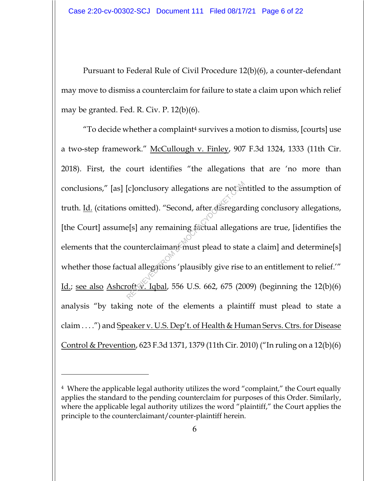Pursuant to Federal Rule of Civil Procedure 12(b)(6), a counter-defendant may move to dismiss a counterclaim for failure to state a claim upon which relief may be granted. Fed. R. Civ. P. 12(b)(6).

"To decide whether a complaint<sup>4</sup> survives a motion to dismiss, [courts] use a two-step framework." McCullough v. Finley, 907 F.3d 1324, 1333 (11th Cir. 2018). First, the court identifies "the allegations that are 'no more than conclusions," [as] [c]onclusory allegations are not entitled to the assumption of truth. Id. (citations omitted). "Second, after disregarding conclusory allegations, [the Court] assume[s] any remaining factual allegations are true, [identifies the elements that the counterclaimant must plead to state a claim] and determine[s] whether those factual allegations 'plausibly give rise to an entitlement to relief.'" Id.; see also Ashcroft v. Iqbal, 556 U.S. 662, 675 (2009) (beginning the  $12(b)(6)$ analysis "by taking note of the elements a plaintiff must plead to state a claim . . . .") and Speaker v. U.S. Dep't. of Health & Human Servs. Ctrs. for Disease Control & Prevention, 623 F.3d 1371, 1379 (11th Cir. 2010) ("In ruling on a 12(b)(6) Electrical delegations are noted<br>
omitted). "Second, after disregard<br>
e[s] any remaining factual allegations<br>
counterclaimant must plead to stat<br>
ual allegations 'plausibly give rise<br>
oft V. Iqbal, 556 U.S. 662, 675 (20

<sup>4</sup> Where the applicable legal authority utilizes the word "complaint," the Court equally applies the standard to the pending counterclaim for purposes of this Order. Similarly, where the applicable legal authority utilizes the word "plaintiff," the Court applies the principle to the counterclaimant/counter-plaintiff herein.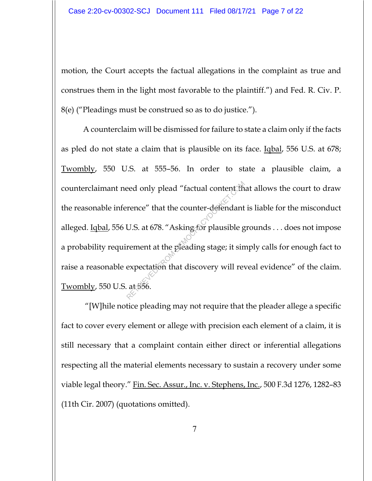motion, the Court accepts the factual allegations in the complaint as true and construes them in the light most favorable to the plaintiff.") and Fed. R. Civ. P. 8(e) ("Pleadings must be construed so as to do justice.").

A counterclaim will be dismissed for failure to state a claim only if the facts as pled do not state a claim that is plausible on its face. Iqbal, 556 U.S. at 678; Twombly, 550 U.S. at 555–56. In order to state a plausible claim, a counterclaimant need only plead "factual content that allows the court to draw the reasonable inference" that the counter-defendant is liable for the misconduct alleged. Iqbal, 556 U.S. at 678. "Asking for plausible grounds . . . does not impose a probability requirement at the pleading stage; it simply calls for enough fact to raise a reasonable expectation that discovery will reveal evidence" of the claim. Twombly, 550 U.S. at 556. rence" that the counter-defendant<br>U.S. at 678. "Asking for plausible g<br>rement at the pleading stage; it sin<br>expectation that discovery will rev<br>at 556.

 "[W]hile notice pleading may not require that the pleader allege a specific fact to cover every element or allege with precision each element of a claim, it is still necessary that a complaint contain either direct or inferential allegations respecting all the material elements necessary to sustain a recovery under some viable legal theory." Fin. Sec. Assur., Inc. v. Stephens, Inc., 500 F.3d 1276, 1282–83 (11th Cir. 2007) (quotations omitted).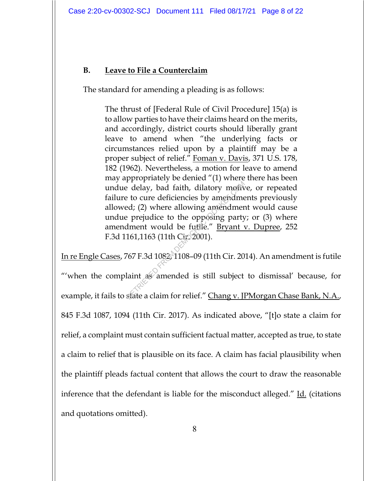## **B. Leave to File a Counterclaim**

The standard for amending a pleading is as follows:

The thrust of [Federal Rule of Civil Procedure] 15(a) is to allow parties to have their claims heard on the merits, and accordingly, district courts should liberally grant leave to amend when "the underlying facts or circumstances relied upon by a plaintiff may be a proper subject of relief." Foman v. Davis, 371 U.S. 178, 182 (1962). Nevertheless, a motion for leave to amend may appropriately be denied "(1) where there has been undue delay, bad faith, dilatory motive, or repeated failure to cure deficiencies by amendments previously allowed; (2) where allowing amendment would cause undue prejudice to the opposing party; or (3) where amendment would be futile." Bryant v. Dupree, 252 F.3d 1161,1163 (11th Cir. 2001). Example 1 and 1 at the deficiencies by amendment<br>
Retrieved: (2) where allowing amendment<br>
Perpendice to the opposing party<br>
dment would be furtile." <u>Bryant</u><br>
161,1163 (11th Circ 2001).<br>
167.7 F.3d 1082, 1108-09 (11th Ci

In re Engle Cases, 767 F.3d 1082, 1108–09 (11th Cir. 2014). An amendment is futile "'when the complaint as amended is still subject to dismissal' because, for example, it fails to state a claim for relief." Chang v. JPMorgan Chase Bank, N.A., 845 F.3d 1087, 1094 (11th Cir. 2017). As indicated above, "[t]o state a claim for relief, a complaint must contain sufficient factual matter, accepted as true, to state a claim to relief that is plausible on its face. A claim has facial plausibility when the plaintiff pleads factual content that allows the court to draw the reasonable inference that the defendant is liable for the misconduct alleged." Id. (citations and quotations omitted).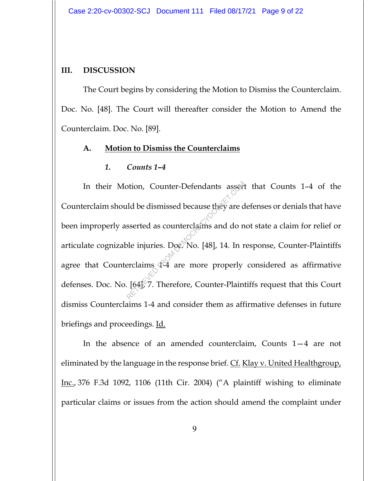#### **III. DISCUSSION**

The Court begins by considering the Motion to Dismiss the Counterclaim. Doc. No. [48]. The Court will thereafter consider the Motion to Amend the Counterclaim. Doc. No. [89].

#### **A. Motion to Dismiss the Counterclaims**

#### *1. Counts 1–4*

In their Motion, Counter-Defendants assert that Counts 1–4 of the Counterclaim should be dismissed because they are defenses or denials that have been improperly asserted as counterclaims and do not state a claim for relief or articulate cognizable injuries. Doc. No. [48], 14. In response, Counter-Plaintiffs agree that Counterclaims 4-4 are more properly considered as affirmative defenses. Doc. No. [64], 7. Therefore, Counter-Plaintiffs request that this Court dismiss Counterclaims 1-4 and consider them as affirmative defenses in future briefings and proceedings. Id. Solid be dismissed because they are d<br>
sserted as counterclaims and do n<br>
ble injuries. Doc. No. [48], 14. In r<br>
erclaims 4-4 are more properly<br>
[64], 7. Therefore, Counter-Plain

In the absence of an amended counterclaim, Counts 1—4 are not eliminated by the language in the response brief. Cf. Klay v. United Healthgroup, Inc., 376 F.3d 1092, 1106 (11th Cir. 2004) ("A plaintiff wishing to eliminate particular claims or issues from the action should amend the complaint under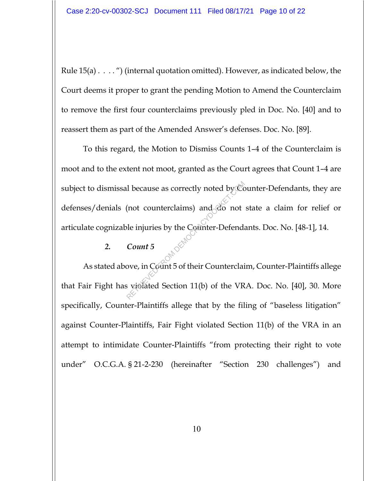Rule 15(a) . . . . ") (internal quotation omitted). However, as indicated below, the Court deems it proper to grant the pending Motion to Amend the Counterclaim to remove the first four counterclaims previously pled in Doc. No. [40] and to reassert them as part of the Amended Answer's defenses. Doc. No. [89].

To this regard, the Motion to Dismiss Counts 1–4 of the Counterclaim is moot and to the extent not moot, granted as the Court agrees that Count 1–4 are subject to dismissal because as correctly noted by Counter-Defendants, they are defenses/denials (not counterclaims) and do not state a claim for relief or articulate cognizable injuries by the Counter-Defendants. Doc. No. [48-1], 14. 1 because as correctly noted by  $\infty$ <br>
(not counterclaims) and  $\infty$  not<br>
ble injuries by the Counter-Defenda<br>
Count 5<br>
ove, in Count 5 of their Counterclain<br>
signated Section 11(b) of the VR

#### *2. Count 5*

As stated above, in Count 5 of their Counterclaim, Counter-Plaintiffs allege that Fair Fight has violated Section 11(b) of the VRA. Doc. No. [40], 30. More specifically, Counter-Plaintiffs allege that by the filing of "baseless litigation" against Counter-Plaintiffs, Fair Fight violated Section 11(b) of the VRA in an attempt to intimidate Counter-Plaintiffs "from protecting their right to vote under" O.C.G.A. § 21-2-230 (hereinafter "Section 230 challenges") and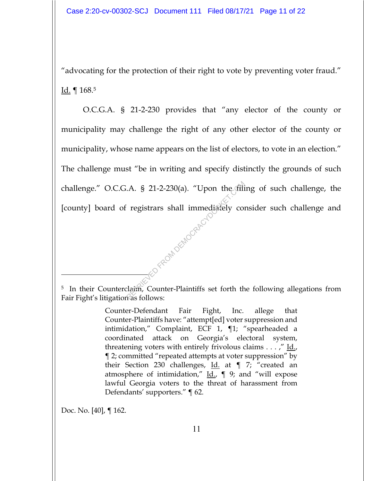"advocating for the protection of their right to vote by preventing voter fraud." Id. ¶ 168.5

O.C.G.A. § 21-2-230 provides that "any elector of the county or municipality may challenge the right of any other elector of the county or municipality, whose name appears on the list of electors, to vote in an election." The challenge must "be in writing and specify distinctly the grounds of such challenge." O.C.G.A. § 21-2-230(a). "Upon the filing of such challenge, the [county] board of registrars shall immediately consider such challenge and RED<sup>ERED FROM DEMOCRACY</sup>

Doc. No. [40], ¶ 162.

<sup>&</sup>lt;sup>5</sup> In their Counterclaim, Counter-Plaintiffs set forth the following allegations from Fair Fight's litigation as follows:

Counter-Defendant Fair Fight, Inc. allege that Counter-Plaintiffs have: "attempt[ed] voter suppression and intimidation," Complaint, ECF 1, ¶1; "spearheaded a coordinated attack on Georgia's electoral system, threatening voters with entirely frivolous claims . . . ," Id., ¶ 2; committed "repeated attempts at voter suppression" by their Section 230 challenges, Id. at ¶ 7; "created an atmosphere of intimidation,"  $\underline{Id}$ ,  $\P$  9; and "will expose lawful Georgia voters to the threat of harassment from Defendants' supporters." ¶ 62.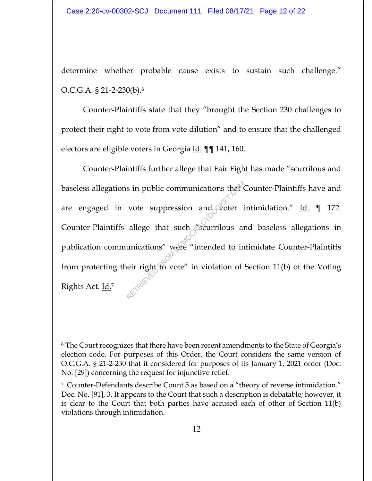determine whether probable cause exists to sustain such challenge." O.C.G.A. § 21-2-230(b).6

Counter-Plaintiffs state that they "brought the Section 230 challenges to protect their right to vote from vote dilution" and to ensure that the challenged electors are eligible voters in Georgia Id. ¶¶ 141, 160.

Counter-Plaintiffs further allege that Fair Fight has made "scurrilous and baseless allegations in public communications that Counter-Plaintiffs have and are engaged in vote suppression and voter intimidation." Id.  $\P$  172. Counter-Plaintiffs allege that such "scurrilous and baseless allegations in publication communications" were "intended to intimidate Counter-Plaintiffs from protecting their right to vote" in violation of Section 11(b) of the Voting Rights Act. Id.7 s in public communications that<br>vote suppression and voter is<br>allege that such "scurrilous and<br>unications" were "intended to in<br>eir right to vote" in violation of

<sup>6</sup> The Court recognizes that there have been recent amendments to the State of Georgia's election code. For purposes of this Order, the Court considers the same version of O.C.G.A. § 21-2-230 that it considered for purposes of its January 1, 2021 order (Doc. No. [29]) concerning the request for injunctive relief.

<sup>7</sup> Counter-Defendants describe Count 5 as based on a "theory of reverse intimidation." Doc. No. [91], 3. It appears to the Court that such a description is debatable; however, it is clear to the Court that both parties have accused each of other of Section 11(b) violations through intimidation.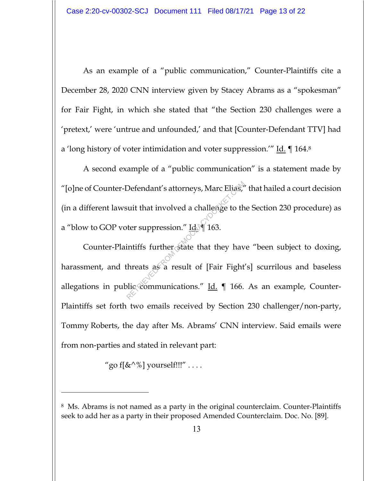As an example of a "public communication," Counter-Plaintiffs cite a December 28, 2020 CNN interview given by Stacey Abrams as a "spokesman" for Fair Fight, in which she stated that "the Section 230 challenges were a 'pretext,' were 'untrue and unfounded,' and that [Counter-Defendant TTV] had a 'long history of voter intimidation and voter suppression.'" Id. ¶ 164.8

A second example of a "public communication" is a statement made by "[o]ne of Counter-Defendant's attorneys, Marc Elias," that hailed a court decision (in a different lawsuit that involved a challenge to the Section 230 procedure) as a "blow to GOP voter suppression." Id.  $\parallel$  163.

Counter-Plaintiffs further state that they have "been subject to doxing, harassment, and threats as a result of [Fair Fight's] scurrilous and baseless allegations in public communications."  $\underline{Id}$ .  $\P$  166. As an example, Counter-Plaintiffs set forth two emails received by Section 230 challenger/non-party, Tommy Roberts, the day after Ms. Abrams' CNN interview. Said emails were from non-parties and stated in relevant part: Defendant's attorneys, Marc Elias,<br>suit that involved a challenge to the<br>ter suppression." Id. 163.<br>intiffs further state that they have<br>threats as a result of [Fair Fight<br>plic communications." <u>Id.</u> 166.

"go f $\left[\&^{\wedge}\&\right]$  yourself!!!" ...

<sup>8</sup> Ms. Abrams is not named as a party in the original counterclaim. Counter-Plaintiffs seek to add her as a party in their proposed Amended Counterclaim. Doc. No. [89].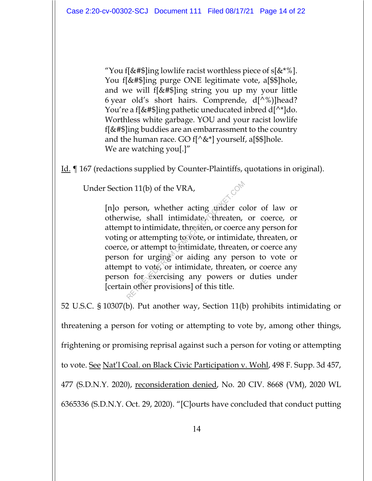"You f[&#\$]ing lowlife racist worthless piece of  $s[&*"\%]$ . You f[&#\$]ing purge ONE legitimate vote, a[\$\$]hole, and we will f[&#\$]ing string you up my your little 6 year old's short hairs. Comprende,  $d[^{\wedge}\%]$ head? You're a f[&#\$]ing pathetic uneducated inbred d[^\*]do. Worthless white garbage. YOU and your racist lowlife f[&#\$]ing buddies are an embarrassment to the country and the human race. GO  $f[\triangle \&*]$  yourself, a[\$\$]hole. We are watching you[.]"

Id. ¶ 167 (redactions supplied by Counter-Plaintiffs, quotations in original).

Under Section 11(b) of the VRA,

[n]o person, whether acting under color of law or otherwise, shall intimidate, threaten, or coerce, or attempt to intimidate, threaten, or coerce any person for voting or attempting to vote, or intimidate, threaten, or coerce, or attempt to intimidate, threaten, or coerce any person for urging or aiding any person to vote or attempt to vote, or intimidate, threaten, or coerce any person for exercising any powers or duties under [certain other provisions] of this title. or 11(b) of the VRA,<br>person, whether acting under covise, shall intimidate, threaten, or coerce<br>to intimidate, threaten, or coerce<br>t, or attempting to vote, or intimidate, threater<br>n for urging or aiding any pers<br>pt to vot

52 U.S.C. § 10307(b). Put another way, Section 11(b) prohibits intimidating or threatening a person for voting or attempting to vote by, among other things, frightening or promising reprisal against such a person for voting or attempting to vote. See Nat'l Coal. on Black Civic Participation v. Wohl, 498 F. Supp. 3d 457, 477 (S.D.N.Y. 2020), reconsideration denied, No. 20 CIV. 8668 (VM), 2020 WL 6365336 (S.D.N.Y. Oct. 29, 2020). "[C]ourts have concluded that conduct putting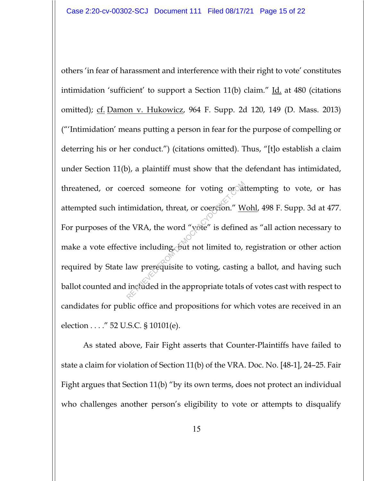others 'in fear of harassment and interference with their right to vote' constitutes intimidation 'sufficient' to support a Section 11(b) claim."  $\underline{Id}$  at 480 (citations omitted); cf. Damon v. Hukowicz, 964 F. Supp. 2d 120, 149 (D. Mass. 2013) ("'Intimidation' means putting a person in fear for the purpose of compelling or deterring his or her conduct.") (citations omitted). Thus, "[t]o establish a claim under Section 11(b), a plaintiff must show that the defendant has intimidated, threatened, or coerced someone for voting or attempting to vote, or has attempted such intimidation, threat, or coercion." Wohl, 498 F. Supp. 3d at 477. For purposes of the VRA, the word "vote" is defined as "all action necessary to make a vote effective including, but not limited to, registration or other action required by State law prerequisite to voting, casting a ballot, and having such ballot counted and included in the appropriate totals of votes cast with respect to candidates for public office and propositions for which votes are received in an election . . . ." 52 U.S.C. § 10101(e). erced someone for voting ordat<br>
imidation, threat, or coercion." <u>W</u><br>
e VRA, the word "vote" is defined<br>
ive including but not limited to,<br>
law prerequisite to voting, casting<br>
included in the appropriate totals

As stated above, Fair Fight asserts that Counter-Plaintiffs have failed to state a claim for violation of Section 11(b) of the VRA. Doc. No. [48-1], 24–25. Fair Fight argues that Section 11(b) "by its own terms, does not protect an individual who challenges another person's eligibility to vote or attempts to disqualify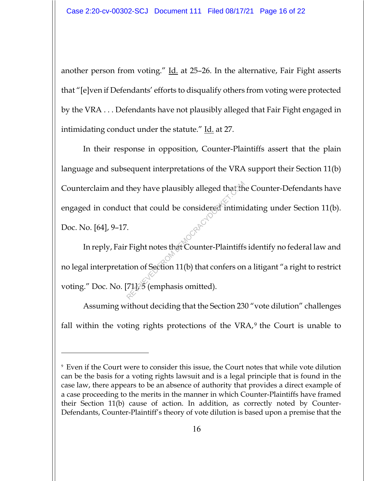another person from voting." Id. at 25-26. In the alternative, Fair Fight asserts that "[e]ven if Defendants' efforts to disqualify others from voting were protected by the VRA . . . Defendants have not plausibly alleged that Fair Fight engaged in intimidating conduct under the statute." Id. at 27.

 In their response in opposition, Counter-Plaintiffs assert that the plain language and subsequent interpretations of the VRA support their Section 11(b) Counterclaim and they have plausibly alleged that the Counter-Defendants have engaged in conduct that could be considered intimidating under Section 11(b). Doc. No. [64], 9–17. they have plausibly alleged that the<br>
ct that could be considered intimi<br>
Fight notes that Counter-Plaintiffs<br>
complete that Counter-Plaintiffs<br>
Fight notes that Counter-Plaintiffs<br>
Fight notes that Counter-Plaintiffs<br>
Fig

 In reply, Fair Fight notes that Counter-Plaintiffs identify no federal law and no legal interpretation of Section 11(b) that confers on a litigant "a right to restrict voting." Doc. No. [71], 5 (emphasis omitted).

Assuming without deciding that the Section 230 "vote dilution" challenges fall within the voting rights protections of the VRA,<sup>9</sup> the Court is unable to

<sup>9</sup> Even if the Court were to consider this issue, the Court notes that while vote dilution can be the basis for a voting rights lawsuit and is a legal principle that is found in the case law, there appears to be an absence of authority that provides a direct example of a case proceeding to the merits in the manner in which Counter-Plaintiffs have framed their Section 11(b) cause of action. In addition, as correctly noted by Counter-Defendants, Counter-Plaintiff's theory of vote dilution is based upon a premise that the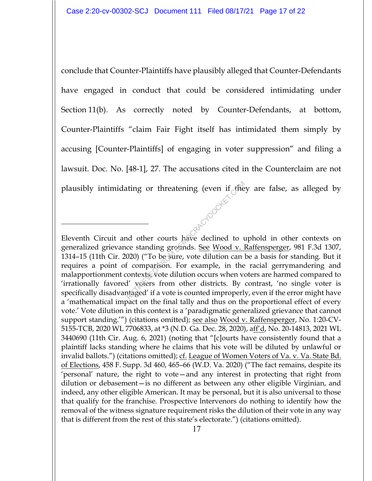conclude that Counter-Plaintiffs have plausibly alleged that Counter-Defendants have engaged in conduct that could be considered intimidating under Section 11(b). As correctly noted by Counter-Defendants, at bottom, Counter-Plaintiffs "claim Fair Fight itself has intimidated them simply by accusing [Counter-Plaintiffs] of engaging in voter suppression" and filing a lawsuit. Doc. No. [48-1], 27. The accusations cited in the Counterclaim are not plausibly intimidating or threatening (even if  $\epsilon$  they are false, as alleged by

Eleventh Circuit and other courts have declined to uphold in other contexts on generalized grievance standing grounds. See Wood v. Raffensperger, 981 F.3d 1307, 1314–15 (11th Cir. 2020) ("To be sure, vote dilution can be a basis for standing. But it requires a point of comparison. For example, in the racial gerrymandering and malapportionment contexts, vote dilution occurs when voters are harmed compared to 'irrationally favored' voters from other districts. By contrast, 'no single voter is specifically disadvantaged' if a vote is counted improperly, even if the error might have a 'mathematical impact on the final tally and thus on the proportional effect of every vote.' Vote dilution in this context is a 'paradigmatic generalized grievance that cannot support standing."") (citations omitted); see also Wood v. Raffensperger, No. 1:20-CV-5155-TCB, 2020 WL 7706833, at \*3 (N.D. Ga. Dec. 28, 2020), aff'd, No. 20-14813, 2021 WL 3440690 (11th Cir. Aug. 6, 2021) (noting that "[c]ourts have consistently found that a plaintiff lacks standing where he claims that his vote will be diluted by unlawful or invalid ballots.") (citations omitted); cf. League of Women Voters of Va. v. Va. State Bd. of Elections, 458 F. Supp. 3d 460, 465–66 (W.D. Va. 2020) ("The fact remains, despite its 'personal' nature, the right to vote—and any interest in protecting that right from dilution or debasement—is no different as between any other eligible Virginian, and indeed, any other eligible American. It may be personal, but it is also universal to those that qualify for the franchise. Prospective lntervenors do nothing to identify how the removal of the witness signature requirement risks the dilution of their vote in any way that is different from the rest of this state's electorate.") (citations omitted). The declined to the declined to the total of the courts have declined to the standing grounds. <u>See Wood v. 1</u><br>Comparison of the standing grounds. See Wood v. 1<br>020) ("To be sure, vote dilution can f comparison. For exampl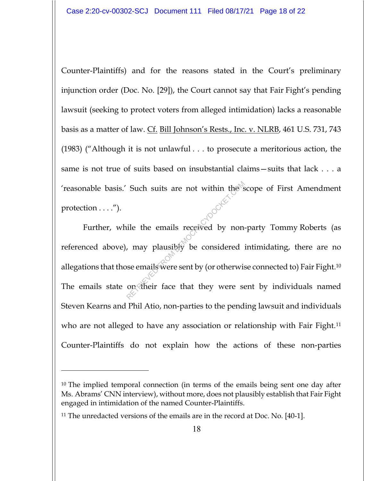Counter-Plaintiffs) and for the reasons stated in the Court's preliminary injunction order (Doc. No. [29]), the Court cannot say that Fair Fight's pending lawsuit (seeking to protect voters from alleged intimidation) lacks a reasonable basis as a matter of law. Cf. Bill Johnson's Rests., Inc. v. NLRB, 461 U.S. 731, 743 (1983) ("Although it is not unlawful . . . to prosecute a meritorious action, the same is not true of suits based on insubstantial claims—suits that lack . . . a 'reasonable basis.' Such suits are not within the scope of First Amendment protection  $\dots$ .").

Further, while the emails received by non-party Tommy Roberts (as referenced above), may plausibly be considered intimidating, there are no allegations that those emails were sent by (or otherwise connected to) Fair Fight.10 The emails state on their face that they were sent by individuals named Steven Kearns and Phil Atio, non-parties to the pending lawsuit and individuals who are not alleged to have any association or relationship with Fair Fight.<sup>11</sup> Counter-Plaintiffs do not explain how the actions of these non-parties Such suits are not within the side of the emails received by non.<br>
The emails received by non.<br>
The emails were sent by (or otherwise on their face that they were sext<br>
on their face that they were sext

<sup>10</sup> The implied temporal connection (in terms of the emails being sent one day after Ms. Abrams' CNN interview), without more, does not plausibly establish that Fair Fight engaged in intimidation of the named Counter-Plaintiffs.

<sup>11</sup> The unredacted versions of the emails are in the record at Doc. No. [40-1].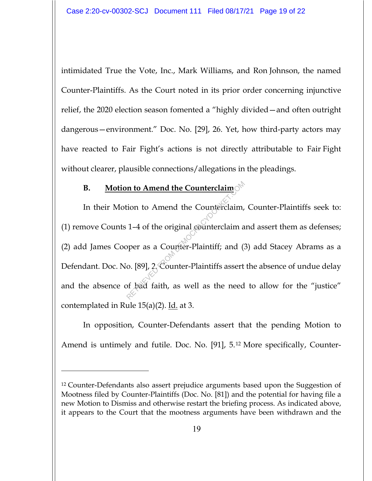intimidated True the Vote, Inc., Mark Williams, and Ron Johnson, the named Counter-Plaintiffs. As the Court noted in its prior order concerning injunctive relief, the 2020 election season fomented a "highly divided—and often outright dangerous—environment." Doc. No. [29], 26. Yet, how third-party actors may have reacted to Fair Fight's actions is not directly attributable to Fair Fight without clearer, plausible connections/allegations in the pleadings.

# **B. Motion to Amend the Counterclaim**

In their Motion to Amend the Counterclaim, Counter-Plaintiffs seek to: (1) remove Counts 1–4 of the original counterclaim and assert them as defenses; (2) add James Cooper as a Counter-Plaintiff; and (3) add Stacey Abrams as a Defendant. Doc. No. [89], 2. Counter-Plaintiffs assert the absence of undue delay and the absence of bad faith, as well as the need to allow for the "justice" contemplated in Rule  $15(a)(2)$ . Id. at 3. **n to Amend the Counterclaim**<br>tion to Amend the Counterclaim,<br>1-4 of the original counterclaim a<br>oper as a Counter-Plaintiff; and (3<br>o. [89], 2 Counter-Plaintiffs assert<br>of bad faith, as well as the need

In opposition, Counter-Defendants assert that the pending Motion to Amend is untimely and futile. Doc. No. [91], 5.12 More specifically, Counter-

<sup>12</sup> Counter-Defendants also assert prejudice arguments based upon the Suggestion of Mootness filed by Counter-Plaintiffs (Doc. No. [81]) and the potential for having file a new Motion to Dismiss and otherwise restart the briefing process. As indicated above, it appears to the Court that the mootness arguments have been withdrawn and the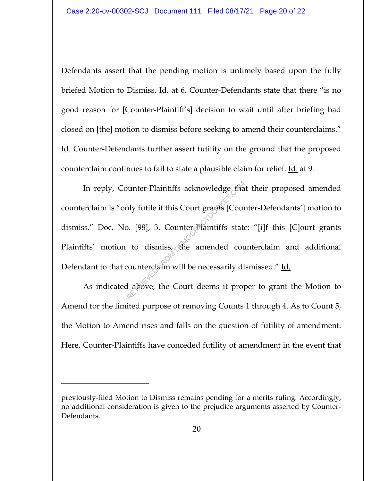Defendants assert that the pending motion is untimely based upon the fully briefed Motion to Dismiss. <u>Id.</u> at 6. Counter-Defendants state that there "is no good reason for [Counter-Plaintiff's] decision to wait until after briefing had closed on [the] motion to dismiss before seeking to amend their counterclaims." Id. Counter-Defendants further assert futility on the ground that the proposed counterclaim continues to fail to state a plausible claim for relief. Id. at 9.

In reply, Counter-Plaintiffs acknowledge that their proposed amended counterclaim is "only futile if this Court grants [Counter-Defendants'] motion to dismiss." Doc. No. [98], 3. Counter-Plaintiffs state: "[i]f this [C]ourt grants Plaintiffs' motion to dismiss, the amended counterclaim and additional Defendant to that counterclaim will be necessarily dismissed." Id. Nunter-Plaintiffs acknowledge that<br>aly futile if this Court grants [Court<br>b. [98], 3. Counter-Plaintiffs state<br>to dismiss, the amended court<br>counterclaim will be necessarily diadely at above, the Court deems it prop

As indicated above, the Court deems it proper to grant the Motion to Amend for the limited purpose of removing Counts 1 through 4. As to Count 5, the Motion to Amend rises and falls on the question of futility of amendment. Here, Counter-Plaintiffs have conceded futility of amendment in the event that

previously-filed Motion to Dismiss remains pending for a merits ruling. Accordingly, no additional consideration is given to the prejudice arguments asserted by Counter-Defendants.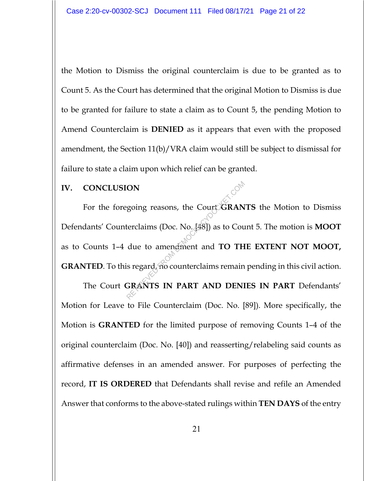the Motion to Dismiss the original counterclaim is due to be granted as to Count 5. As the Court has determined that the original Motion to Dismiss is due to be granted for failure to state a claim as to Count 5, the pending Motion to Amend Counterclaim is **DENIED** as it appears that even with the proposed amendment, the Section 11(b)/VRA claim would still be subject to dismissal for failure to state a claim upon which relief can be granted.

## **IV. CONCLUSION**

For the foregoing reasons, the Court **GRANTS** the Motion to Dismiss Defendants' Counterclaims (Doc. No. [48]) as to Count 5. The motion is **MOOT** as to Counts 1–4 due to amendment and **TO THE EXTENT NOT MOOT, GRANTED**. To this regard, no counterclaims remain pending in this civil action. Retrolaims (Doc. No. 48) as to Count<br>due to amendment and TO TH<br>is regard, no counterclaims remain<br>GRANTS IN PART AND DENI

The Court **GRANTS IN PART AND DENIES IN PART** Defendants' Motion for Leave to File Counterclaim (Doc. No. [89]). More specifically, the Motion is **GRANTED** for the limited purpose of removing Counts 1–4 of the original counterclaim (Doc. No. [40]) and reasserting/relabeling said counts as affirmative defenses in an amended answer. For purposes of perfecting the record, **IT IS ORDERED** that Defendants shall revise and refile an Amended Answer that conforms to the above-stated rulings within **TEN DAYS** of the entry